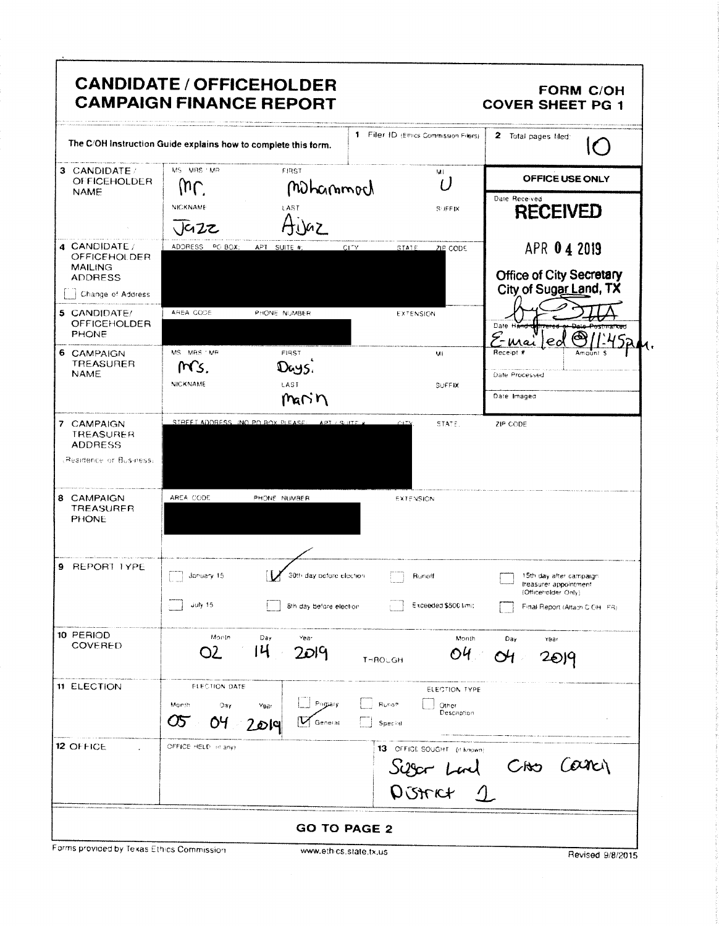|                                                                            |                                                 | <b>CANDIDATE / OFFICEHOLDER</b><br><b>CAMPAIGN FINANCE REPORT</b> |                      |                                                      | <b>FORM C/OH</b><br><b>COVER SHEET PG 1</b>                             |
|----------------------------------------------------------------------------|-------------------------------------------------|-------------------------------------------------------------------|----------------------|------------------------------------------------------|-------------------------------------------------------------------------|
| The C/OH Instruction Guide explains how to complete this form.             |                                                 |                                                                   |                      | 1 Filer ID (Ethics Commission Filers)                | 2 Total pages filed:<br>$\epsilon$ .                                    |
| 3 CANDIDATE/<br><b>OFFICEHOLDER</b>                                        | MS MRS / MR<br>$\omega$                         | FIRST                                                             |                      | ML<br>( )                                            | OFFICE USE ONLY                                                         |
| <b>NAME</b>                                                                | NICKNAME<br>$\sqrt{42z}$                        | Mohammod<br>LAST                                                  |                      | <b>SUFFIX</b>                                        | Date Received<br><b>RECEIVED</b>                                        |
| 4 CANDIDATE /<br><b>OFFICEHOLDER</b><br><b>MAILING</b>                     | ADDRESS PO BOX;                                 | APT SUITE #:                                                      | <b>CITY</b><br>STATE | ZIP CODE                                             | APR 0 4 2019                                                            |
| <b>ADDRESS</b><br>Change of Address                                        |                                                 |                                                                   |                      |                                                      | <b>Office of City Secretary</b><br>City of Sugar Land, TX               |
| 5 CANDIDATE/<br><b>OFFICEHOLDER</b><br><b>PHONE</b>                        | AREA CODE                                       | PHONE NUMBER                                                      |                      | EXTENSION                                            | Date Han<br>E-mai<br>$\epsilon$                                         |
| 6 CAMPAIGN<br><b>TREASURER</b><br><b>NAME</b>                              | MS MRS / MP<br>Ms.<br><b>NICKNAME</b>           | <b>FIRST</b><br>Days.<br>LAST                                     |                      | MI<br><b>SUFFIX</b>                                  | Receipt #<br>Date Processed                                             |
|                                                                            |                                                 | $m \cap n$                                                        |                      |                                                      | Date Imaged                                                             |
| 7 CAMPAIGN<br><b>TREASURER</b><br><b>ADDRESS</b><br>Residence or Business: | STREET ADDRESS (NO PO BOX PLEASE)               | APT / SHITE A                                                     |                      | STATE.                                               | ZIP CODE                                                                |
| 8 CAMPAIGN<br><b>TREASURER</b><br><b>PHONE</b>                             | AREA CODE                                       | PHONE NUMBER                                                      |                      | <b>EXTENSION</b>                                     |                                                                         |
| 9 REPORT LYPE                                                              | January 15                                      | 30th day before election                                          |                      | Runott                                               | 15th day after campaign<br>treasurer appointment<br>(Officeholder Only) |
|                                                                            | 15 yuly                                         | 8th day before election.                                          |                      | Exceeded \$500 limit                                 | Final Report (Attach CICH FR)                                           |
| 10 PERIOD<br><b>COVERED</b>                                                | Month<br>O2                                     | Day<br>Year<br>14<br>2019                                         | THROUGH              | Month<br>O4.                                         | Day<br>Year<br>2019                                                     |
| <b>11 ELECTION</b>                                                         | <b>ELECTION DATE</b><br>Month<br>Day<br>Œ<br>OЧ | Pagary<br>Year<br>2019<br>General                                 | Runoff<br>Special    | ELECTION TYPE<br>Other<br>Description                |                                                                         |
| 12 OFFICE                                                                  | OFFICE HELD of any)                             |                                                                   |                      | 13 OFFICE SOUGHT (if known)<br>Siger Lad<br>DUSTRY 1 | care<br>Cho                                                             |
|                                                                            |                                                 | <b>GO TO PAGE 2</b>                                               |                      |                                                      |                                                                         |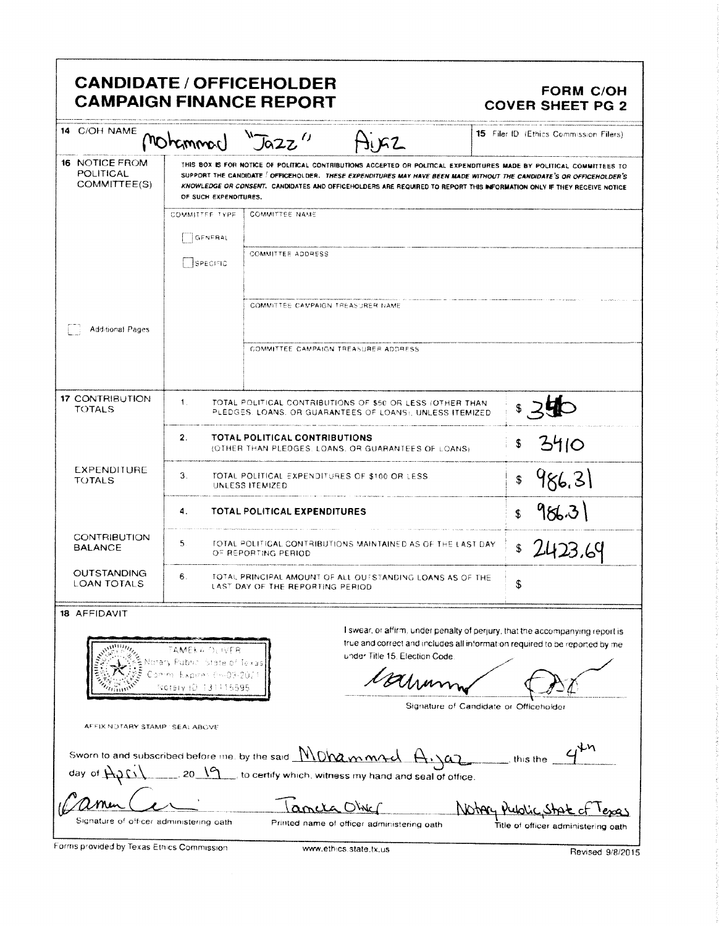| 14 C/OH NAME<br><b>16 NOTICE FROM</b><br><b>POLITICAL</b><br>COMMITTEE(S) | Mohammon                                                                                                   | Jozz                                                              | J1 IGZ                                                                                                                                                                                                                                                                                                                                                                  | 15 Filer ID (Ethics Commission Filers) |
|---------------------------------------------------------------------------|------------------------------------------------------------------------------------------------------------|-------------------------------------------------------------------|-------------------------------------------------------------------------------------------------------------------------------------------------------------------------------------------------------------------------------------------------------------------------------------------------------------------------------------------------------------------------|----------------------------------------|
|                                                                           |                                                                                                            |                                                                   |                                                                                                                                                                                                                                                                                                                                                                         |                                        |
|                                                                           | OF SUCH EXPENDITURES.                                                                                      |                                                                   | THIS BOX IS FOR NOTICE OF POLITICAL CONTRIBUTIONS ACCEPTED OR POLITICAL EXPENDITURES MADE BY POLITICAL COMMITTEES TO<br>SUPPORT THE CANDIDATE   OFFICEHOLDER. THESE EXPENDITURES MAY HAVE BEEN MADE WITHOUT THE CANDIDATE'S OR OFFICEHOLDER'S<br>KNOWLEDGE OR CONSENT. CANDIDATES AND OFFICEHOLDERS ARE REQUIRED TO REPORT THIS INFORMATION ONLY IF THEY RECEIVE NOTICE |                                        |
|                                                                           | COMMITTEE TYPE                                                                                             | <b>COMMITTEE NAME</b>                                             |                                                                                                                                                                                                                                                                                                                                                                         |                                        |
|                                                                           | GENERAL                                                                                                    |                                                                   |                                                                                                                                                                                                                                                                                                                                                                         |                                        |
|                                                                           | <b>SPECIFIC</b>                                                                                            | <b>COMMITTEE ADDRESS</b>                                          |                                                                                                                                                                                                                                                                                                                                                                         |                                        |
|                                                                           |                                                                                                            | COMMITTEE CAMPAIGN TREASURER NAME                                 |                                                                                                                                                                                                                                                                                                                                                                         |                                        |
| <b>Add-tional Pages</b>                                                   |                                                                                                            |                                                                   |                                                                                                                                                                                                                                                                                                                                                                         |                                        |
|                                                                           |                                                                                                            | COMMITTEE CAMPAIGN TREASURER ADDRESS                              |                                                                                                                                                                                                                                                                                                                                                                         |                                        |
| <b>17 CONTRIBUTION</b><br><b>TOTALS</b>                                   | $\mathbf{1}$ .                                                                                             |                                                                   | TOTAL POLITICAL CONTRIBUTIONS OF \$50 OR LESS (OTHER THAN<br>PLEDGES, LOANS, OR GUARANTEES OF LOANS), UNLESS ITEMIZED                                                                                                                                                                                                                                                   |                                        |
|                                                                           | 2.                                                                                                         | TOTAL POLITICAL CONTRIBUTIONS                                     | (OTHER THAN PLEDGES. LOANS, OR GUARANTEES OF LOANS)                                                                                                                                                                                                                                                                                                                     | 3410<br>\$                             |
| <b>EXPENDITURE</b><br><b>TOTALS</b>                                       | З.                                                                                                         | TOTAL POLITICAL EXPENDITURES OF \$100 OR LESS.<br>UNLESS ITEMIZED |                                                                                                                                                                                                                                                                                                                                                                         | 986,31<br>\$                           |
| TOTAL POLITICAL EXPENDITURES<br>4.<br>\$                                  |                                                                                                            |                                                                   | 986.31                                                                                                                                                                                                                                                                                                                                                                  |                                        |
| <b>CONTRIBUTION</b><br><b>BALANCE</b>                                     | 5.<br>TOTAL POLITICAL CONTRIBUTIONS MAINTAINED AS OF THE LAST DAY.<br>2423.69<br>\$<br>OF REPORTING PERIOD |                                                                   |                                                                                                                                                                                                                                                                                                                                                                         |                                        |
| <b>OUTSTANDING</b><br><b>LOAN TOTALS</b>                                  | 6.                                                                                                         | LAST DAY OF THE REPORTING PERIOD                                  | TOTAL PRINCIPAL AMOUNT OF ALL OUTSTANDING LOANS AS OF THE                                                                                                                                                                                                                                                                                                               | \$                                     |
| <b>18 AFFIDAVIT</b>                                                       |                                                                                                            |                                                                   |                                                                                                                                                                                                                                                                                                                                                                         |                                        |
|                                                                           | EAMEKA OLIVER<br>Public, State of Texas                                                                    |                                                                   | I swear, or affirm, under penalty of perjury, that the accompanying report is<br>true and correct and includes all information required to be reported by me<br>under Title 15, Election Code                                                                                                                                                                           |                                        |
|                                                                           | Expires (h-03-2023<br>HD 131115595<br><b>SCIEIV</b>                                                        |                                                                   | Valsam                                                                                                                                                                                                                                                                                                                                                                  |                                        |
| AFFIX NOTARY STAMP : SEAL ABOVE                                           |                                                                                                            |                                                                   |                                                                                                                                                                                                                                                                                                                                                                         | Signature of Candidate or Officeholder |
| Sworn to and subscribed before me. by the said WIDW mm4d                  |                                                                                                            |                                                                   |                                                                                                                                                                                                                                                                                                                                                                         | this the                               |
| day of $H^{0}$                                                            |                                                                                                            |                                                                   | $\sim$ 20 $\sqrt{9}$ , to certify which, witness my hand and seal of office.                                                                                                                                                                                                                                                                                            |                                        |
| Signature of officer administering cath                                   |                                                                                                            | ancia Obje                                                        |                                                                                                                                                                                                                                                                                                                                                                         | Notary Public Stat of                  |
| Forms provided by Texas Ethics Commission                                 |                                                                                                            |                                                                   | Printed name of officer administering oath                                                                                                                                                                                                                                                                                                                              | Title of officer administering oath    |

 $\mathbf{f}$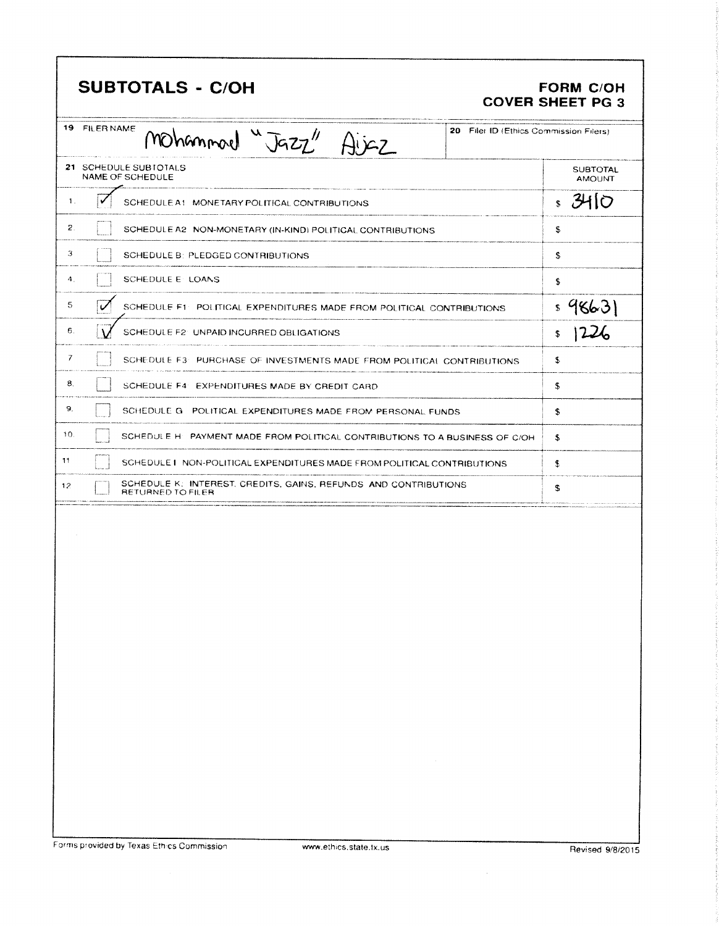| <b>SUBTOTALS - C/OH</b>                                                                                  | <b>FORM C/OH</b><br><b>COVER SHEET PG 3</b> |
|----------------------------------------------------------------------------------------------------------|---------------------------------------------|
| 19 FILER NAME<br>20 Filer ID (Ethics Commission Filers)<br>Mohammond "Jazz" Aijaz                        |                                             |
| 21 SCHEDULE SUBTOTALS<br>NAME OF SCHEDULE                                                                | <b>SUBTOTAL</b><br><b>AMOUNT</b>            |
| 1.<br>SCHEDULE A1 MONETARY POLITICAL CONTRIBUTIONS                                                       | 3410<br>$\mathbb{S}$                        |
| 2.<br>SCHEDULE A2 NON-MONETARY (IN-KIND) POLITICAL CONTRIBUTIONS                                         | \$                                          |
| 3<br>SCHEDULE B: PLEDGED CONTRIBUTIONS                                                                   | \$                                          |
| 4.<br>SCHEDULE E: LOANS                                                                                  | \$                                          |
| 5<br>$\overline{\nu}$<br>SCHEDULE F1: POLITICAL EXPENDITURES MADE FROM POLITICAL CONTRIBUTIONS           | 98631<br>\$                                 |
| 6.<br>SCHEDULE F2: UNPAID INCURRED OBLIGATIONS                                                           | \$                                          |
| 7<br>SCHEDULE F3: PURCHASE OF INVESTMENTS MADE FROM POLITICAL CONTRIBUTIONS.                             | £                                           |
| 8.<br>SCHEDULE F4: EXPENDITURES MADE BY CREDIT CARD                                                      | \$                                          |
| 9.<br>SCHEDULE G POLITICAL EXPENDITURES MADE FROM PERSONAL FUNDS                                         | \$                                          |
| 10.<br>SCHEDULE H: PAYMENT MADE FROM POLITICAL CONTRIBUTIONS TO A BUSINESS OF C/OH                       | S                                           |
| -11<br>SCHEDULET NON-POLITICAL EXPENDITURES MADE FROM POLITICAL CONTRIBUTIONS                            | S                                           |
| SCHEDULE K: INTEREST, CREDITS, GAINS, REFUNDS AND CONTRIBUTIONS<br>12 <sub>12</sub><br>RETURNED TO FILER | \$                                          |
|                                                                                                          |                                             |
| $\sim 100$ km s $^{-1}$                                                                                  |                                             |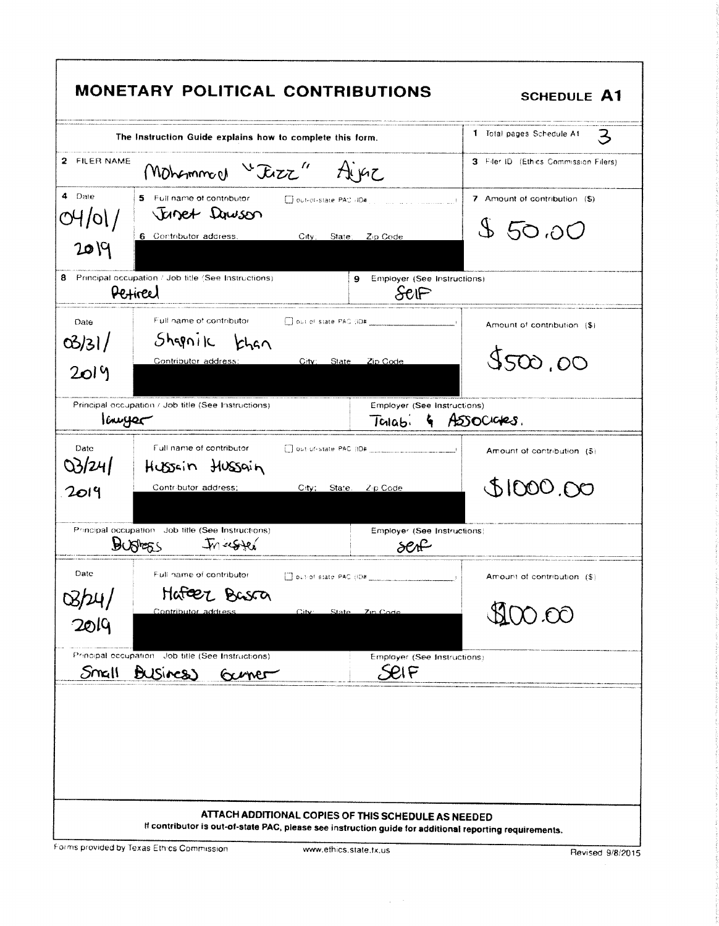|                         | The Instruction Guide explains how to complete this form.                                                        |                                                                         | 1 Total pages Schedule At<br>З          |
|-------------------------|------------------------------------------------------------------------------------------------------------------|-------------------------------------------------------------------------|-----------------------------------------|
| 2 FILER NAME            | Mohammach "Tezz"<br>AIKE                                                                                         |                                                                         | 3 Filer ID (Ethics Commission Filers)   |
| 4 Date<br>04/01/<br>209 | 5 Full name of contributor<br>Out-of-state PAC -ID#<br>Janet Dawson<br>6 Contributor address.<br>City:<br>State: | Zip Code                                                                | 7 Amount of contribution (\$)<br>850,00 |
|                         | 8 Principal occupation / Job title (See Instructions)<br>9<br>Periced                                            | Employer (See Instructions)<br>$Se \mathbb{P}$                          |                                         |
| Date<br>03/31/<br>2019  | Full name of contributor<br>Shqniic<br>khan<br>Contributor address:<br>City:<br>State                            | Zip Code                                                                | Amount of contribution (\$)<br>5500,00  |
| lauyer                  | Principal occupation / Job title (See Instructions)                                                              | Employer (See Instructions)<br>Talab.<br>$\mathcal{L}_{\mathcal{L}}$    | ASSOCIONES.                             |
| Date<br>03/24/<br>2014  | Full name of contributor.<br>Hussain Hussain<br>Contributor address;<br>City;<br>State.                          | $Z \phi$ Code                                                           | Amount of contribution (\$)<br>000000   |
|                         | Principal occupation Job title (See Instructions)<br>In resided<br><b>BUSHESS</b>                                | Employer (See Instructions)<br>serf                                     |                                         |
| Date<br>B/M/<br>2019    | Full name of contributor<br>Hateez Basca<br>Contributor address<br>City                                          | $\Box$ out-of-state PAC (IO# $\Box$ ) $\Box$ $\Box$ )<br>State 7in Code | Amount of contribution (\$)<br>00.OO    |
| Small                   | Principal occupation Job title (See Instructions)<br>Business<br>Gener                                           | Employer (See Instructions)<br>Seif                                     |                                         |

ŗ

 $\Delta \sim 10^5$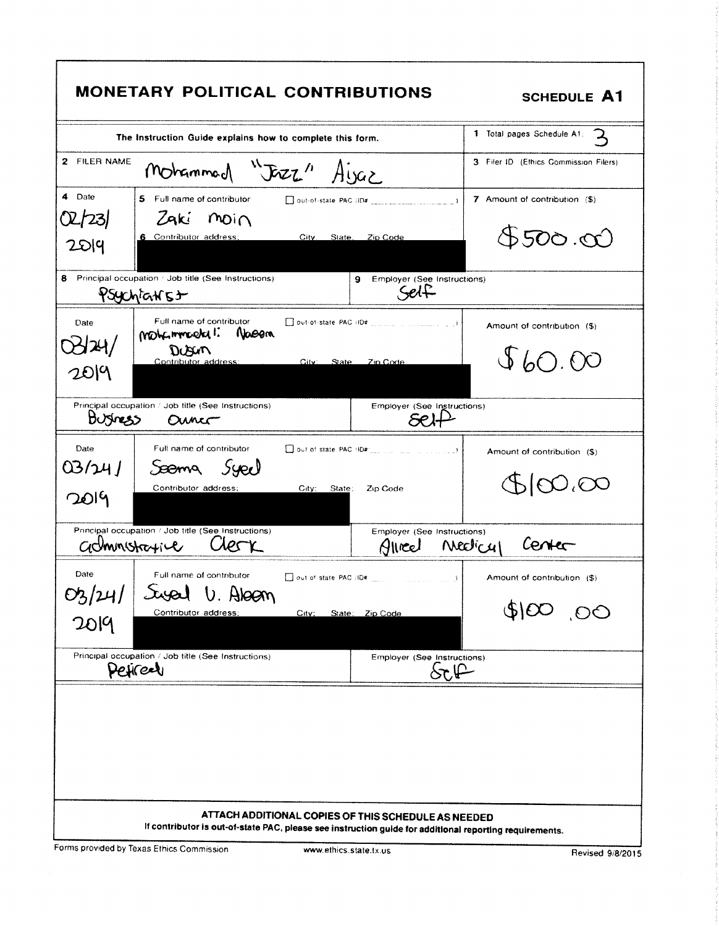| Mohammad "JEZZ" Ayaz<br>5 Full name of contributor<br>7 Amount of contribution (\$)<br>Zaki moin<br>$500 \cdot 00$<br>6 Contributor address;<br>City.<br>State:<br>Zip Code<br>Principal occupation / Job title (See Instructions)<br>Employer (See Instructions)<br>9<br>Self<br>Psychiatist<br>Full name of contributor<br>Date<br>Amount of contribution (\$)<br>mohemmeeka 1:<br>Nasem<br>DUSUM<br>\$60.00<br>Contributor address:<br>City:<br><b>State</b><br>Zip Code<br>Principal occupation / Job title (See Instructions)<br>Employer (See Instructions)<br>Burness<br>Ounco<br>Date<br>Full name of contributor<br>$\Box$ out of state PAC (ID#) $\Box$ $\Box$<br>Amount of contribution (\$)<br>Syee<br>Seema<br>$\infty$ , $\infty$<br>Contributor address;<br>$C_{\rm{tIV}}$<br>State:<br>Zip Code<br>Principal occupation / Job title (See Instructions)<br>Employer (See Instructions)<br>Center<br><i><b>Neclicul</b></i><br>administrative<br>12 S<br>Glice<br>Date<br>Full name of contributor<br>Amount of contribution (\$)<br>Susal U. Aloan<br>00, 008<br>Contributor address;<br>City:<br>State: Zip Code | The Instruction Guide explains how to complete this form. | 1 Total pages Schedule A1:<br>$\mathbf{z}$ |
|----------------------------------------------------------------------------------------------------------------------------------------------------------------------------------------------------------------------------------------------------------------------------------------------------------------------------------------------------------------------------------------------------------------------------------------------------------------------------------------------------------------------------------------------------------------------------------------------------------------------------------------------------------------------------------------------------------------------------------------------------------------------------------------------------------------------------------------------------------------------------------------------------------------------------------------------------------------------------------------------------------------------------------------------------------------------------------------------------------------------------------|-----------------------------------------------------------|--------------------------------------------|
| 2019                                                                                                                                                                                                                                                                                                                                                                                                                                                                                                                                                                                                                                                                                                                                                                                                                                                                                                                                                                                                                                                                                                                             | 2 FILER NAME                                              | 3 Filer ID (Ethics Commission Filers)      |
| O2/23/<br>2514<br>8<br>0424/                                                                                                                                                                                                                                                                                                                                                                                                                                                                                                                                                                                                                                                                                                                                                                                                                                                                                                                                                                                                                                                                                                     | 4 Date                                                    |                                            |
|                                                                                                                                                                                                                                                                                                                                                                                                                                                                                                                                                                                                                                                                                                                                                                                                                                                                                                                                                                                                                                                                                                                                  |                                                           |                                            |
|                                                                                                                                                                                                                                                                                                                                                                                                                                                                                                                                                                                                                                                                                                                                                                                                                                                                                                                                                                                                                                                                                                                                  |                                                           |                                            |
|                                                                                                                                                                                                                                                                                                                                                                                                                                                                                                                                                                                                                                                                                                                                                                                                                                                                                                                                                                                                                                                                                                                                  |                                                           |                                            |
|                                                                                                                                                                                                                                                                                                                                                                                                                                                                                                                                                                                                                                                                                                                                                                                                                                                                                                                                                                                                                                                                                                                                  |                                                           |                                            |
| $03/24/$<br>2019                                                                                                                                                                                                                                                                                                                                                                                                                                                                                                                                                                                                                                                                                                                                                                                                                                                                                                                                                                                                                                                                                                                 | 03/24<br>2019                                             |                                            |
|                                                                                                                                                                                                                                                                                                                                                                                                                                                                                                                                                                                                                                                                                                                                                                                                                                                                                                                                                                                                                                                                                                                                  |                                                           |                                            |
|                                                                                                                                                                                                                                                                                                                                                                                                                                                                                                                                                                                                                                                                                                                                                                                                                                                                                                                                                                                                                                                                                                                                  |                                                           |                                            |
| Principal occupation / Job title (See Instructions)<br>Employer (See Instructions)<br>$S_{\mathcal{C}} \mathfrak{l}$<br>Pericer                                                                                                                                                                                                                                                                                                                                                                                                                                                                                                                                                                                                                                                                                                                                                                                                                                                                                                                                                                                                  |                                                           |                                            |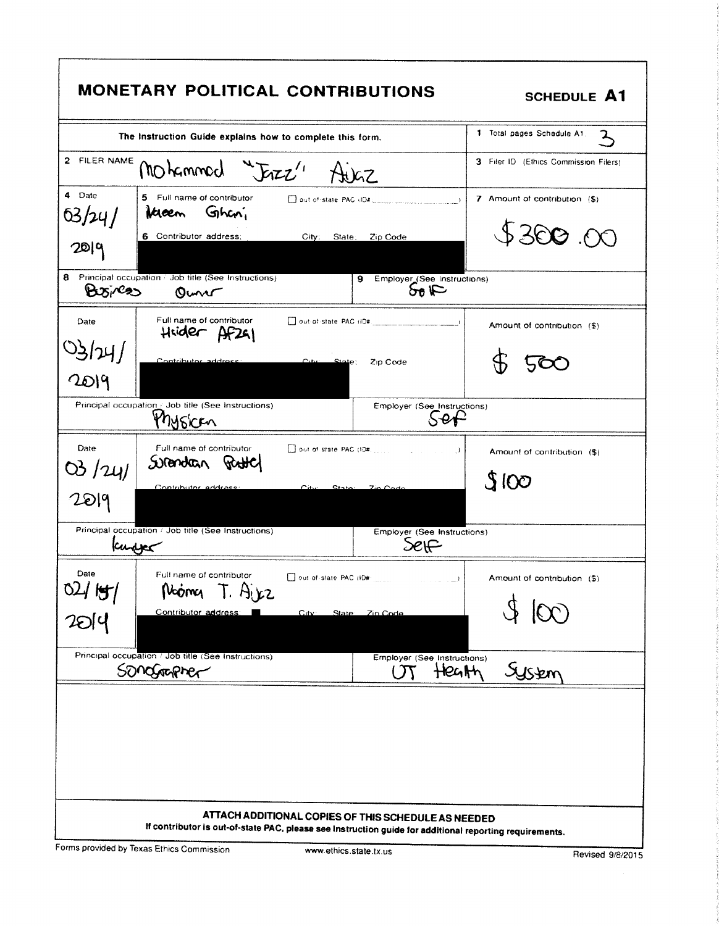|                                                                                                        |                                                                       | MONETARY POLITICAL CONTRIBUTIONS                                                                                                                               | <b>SCHEDULE A1</b>                             |  |
|--------------------------------------------------------------------------------------------------------|-----------------------------------------------------------------------|----------------------------------------------------------------------------------------------------------------------------------------------------------------|------------------------------------------------|--|
|                                                                                                        | The Instruction Guide explains how to complete this form.             |                                                                                                                                                                | 1 Total pages Schedule A1.<br>$\mathbf{z}$     |  |
| 2<br>FILER NAME                                                                                        | MOhammed<br>Free''                                                    | H)GZ                                                                                                                                                           | 3 Filer ID (Ethics Commission Filers)          |  |
| 4 Date<br>63/24/<br>20   0                                                                             | 5 Full name of contributor<br>Ghani<br>Kaen<br>6 Contributor address; | City:<br>Zip Code<br>State;                                                                                                                                    | 7 Amount of contribution (\$)<br>\$300.00      |  |
| 8<br>Bxi/22                                                                                            | Principal occupation / Job title (See Instructions)<br>Ouno           | Employer_(See Instructions)<br>9<br>50E                                                                                                                        |                                                |  |
| Date                                                                                                   | Full name of contributor<br>Hrider Af241                              |                                                                                                                                                                | Amount of contribution (\$)                    |  |
| 3124/<br>2019                                                                                          | Contributor address                                                   | $_{\rm C.0}$<br>$\frac{State}{}$<br>Zip Code                                                                                                                   |                                                |  |
| Principal occupation J Job title (See Instructions)<br>Employer (See Instructions)<br>$S$ ef<br>Mysken |                                                                       |                                                                                                                                                                |                                                |  |
| Date<br>03/24/                                                                                         | Full name of contributor<br>Solendan                                  | $\rightarrow$                                                                                                                                                  | Amount of contribution (\$)<br>3100            |  |
| 2019                                                                                                   | Contributor address:                                                  |                                                                                                                                                                |                                                |  |
| kupper                                                                                                 | Principal occupation / Job title (See Instructions)                   | Employer (See Instructions)<br>Self                                                                                                                            |                                                |  |
| Date<br>02/15/                                                                                         | Full name of contributor<br>Nooma T. Ajez<br>Contributor address:     | Dout-of-state PAC (ID#<br>الأستاذ المتابين<br>City:<br>State<br>Zin Code                                                                                       | Amount of contribution (\$)<br>$(\mathcal{X})$ |  |
|                                                                                                        |                                                                       |                                                                                                                                                                |                                                |  |
|                                                                                                        | Principal occupation / Job title (See Instructions)<br>Songrapher     | Employer (See Instructions)<br>Heath<br>$\tau$                                                                                                                 | System                                         |  |
|                                                                                                        |                                                                       |                                                                                                                                                                |                                                |  |
|                                                                                                        |                                                                       | ATTACH ADDITIONAL COPIES OF THIS SCHEDULE AS NEEDED<br>If contributor is out-of-state PAC, please see instruction guide for additional reporting requirements. |                                                |  |

 $\mathbf{f}$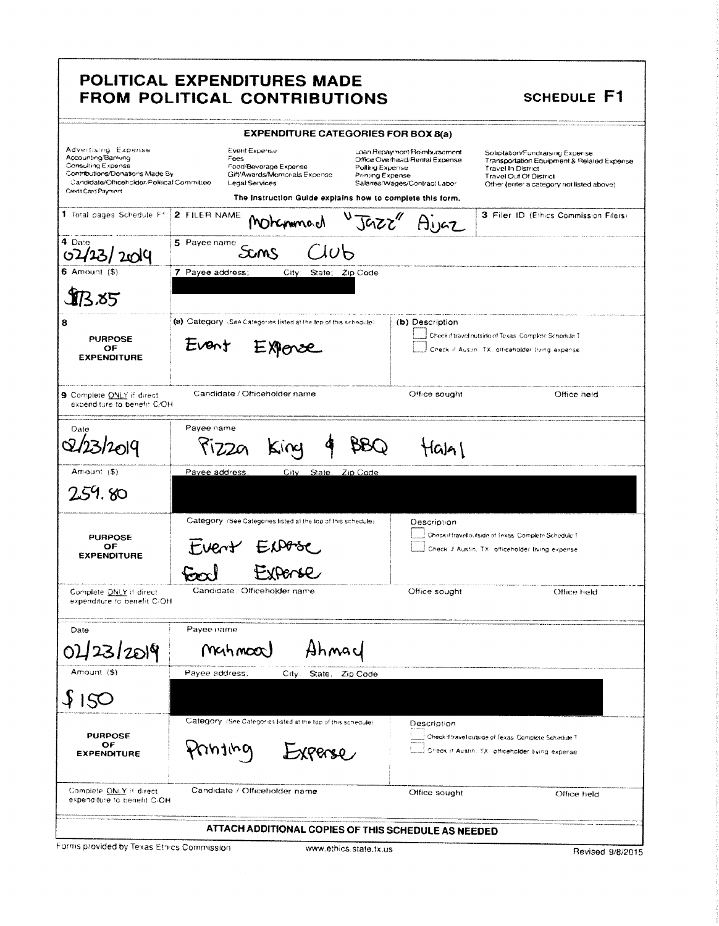# POLITICAL EXPENDITURES MADE FROM POLITICAL CONTRIBUTIONS

**SCHEDULE F1** 

|                                                                                                                                                                         | <b>EXPENDITURE CATEGORIES FOR BOX 8(a)</b>                                                                                                                            |                                            |                                                                                                 |                                                                                                                                                                                           |
|-------------------------------------------------------------------------------------------------------------------------------------------------------------------------|-----------------------------------------------------------------------------------------------------------------------------------------------------------------------|--------------------------------------------|-------------------------------------------------------------------------------------------------|-------------------------------------------------------------------------------------------------------------------------------------------------------------------------------------------|
| Advertising Expense<br>Accounting/Banking<br>Consulting Expense<br>Contributions/Donations Made By<br>Candidate/Officeholder/Political Committee<br>Credit Card Payment | <b>Event Expense</b><br>Fees<br>Food/Beverage Expense<br>Gift/Awards/Memorials Expense<br>Legal Services<br>The Instruction Guide explains how to complete this form, | Polling Expense<br><b>Printing Expense</b> | Loan Repayment Reimbursement<br>Office Overhead/Rental Expense<br>Salaries/Wages/Contract Labor | Solicitation/Fundraising Expense<br>Transportation Equipment & Related Expense<br><b>Travel In District</b><br><b>Travel Out Of District</b><br>Other (enter a category not listed above) |
| 1 Total pages Schedule F1:                                                                                                                                              | 2 FILER NAME<br>Mohammach                                                                                                                                             |                                            | "Jazz" Aijaz                                                                                    | 3 Filer ID (Ethics Commission Filers)                                                                                                                                                     |
| 4 Date<br>$'$ 20 $Q$                                                                                                                                                    | 5 Payee name<br>$\Delta v$ b<br>Sams                                                                                                                                  |                                            |                                                                                                 |                                                                                                                                                                                           |
| 6 Amount $(5)$                                                                                                                                                          | 7 Payee address;<br>City: State; Zip Code                                                                                                                             |                                            |                                                                                                 |                                                                                                                                                                                           |
| IB 85                                                                                                                                                                   |                                                                                                                                                                       |                                            |                                                                                                 |                                                                                                                                                                                           |
| 8                                                                                                                                                                       | (a) Category (See Categories listed at the top of this schedule)                                                                                                      |                                            | (b) Description                                                                                 |                                                                                                                                                                                           |
| <b>PURPOSE</b>                                                                                                                                                          | Event                                                                                                                                                                 |                                            |                                                                                                 | Check if travel nutside of Texas. Complete Schedule T                                                                                                                                     |
| OF<br><b>EXPENDITURE</b>                                                                                                                                                |                                                                                                                                                                       |                                            |                                                                                                 | Check if Auslin. TX, officeholder Ilving expense.                                                                                                                                         |
| 9 Complete ONLY if direct<br>expenditure to benefit C/OH                                                                                                                | Candidate / Officeholder name                                                                                                                                         |                                            | Office sought                                                                                   | Office held                                                                                                                                                                               |
| Date                                                                                                                                                                    | Payee name<br>KIVC                                                                                                                                                    |                                            | Hala I                                                                                          |                                                                                                                                                                                           |
| Amount (\$)                                                                                                                                                             | Payee address,<br>State.<br>City                                                                                                                                      | Zip Code                                   |                                                                                                 |                                                                                                                                                                                           |
| 259.80                                                                                                                                                                  |                                                                                                                                                                       |                                            |                                                                                                 |                                                                                                                                                                                           |
|                                                                                                                                                                         | Category (See Categories fisted at the top of this schedule)                                                                                                          |                                            | Description                                                                                     |                                                                                                                                                                                           |
| <b>PURPOSE</b><br>OF                                                                                                                                                    |                                                                                                                                                                       |                                            |                                                                                                 | Check if travel outside of Texas. Complete Schedule T                                                                                                                                     |
| tvent<br>Check if Austin, TX: afficeholder living expense.<br><b>EXPENDITURE</b>                                                                                        |                                                                                                                                                                       |                                            |                                                                                                 |                                                                                                                                                                                           |
|                                                                                                                                                                         |                                                                                                                                                                       |                                            |                                                                                                 |                                                                                                                                                                                           |
| Complete ONLY if direct<br>expenditure to benefit C/OH                                                                                                                  | Candidate : Officeholder name                                                                                                                                         |                                            | Office sought                                                                                   | Office held                                                                                                                                                                               |
| Date                                                                                                                                                                    | Payee name                                                                                                                                                            |                                            |                                                                                                 |                                                                                                                                                                                           |
| 042312019                                                                                                                                                               | MGH MOO<br>Ahmac                                                                                                                                                      |                                            |                                                                                                 |                                                                                                                                                                                           |
| Amount (\$)                                                                                                                                                             | Payee address;<br>City.                                                                                                                                               | State, Zip Code                            |                                                                                                 |                                                                                                                                                                                           |
| 150                                                                                                                                                                     |                                                                                                                                                                       |                                            |                                                                                                 |                                                                                                                                                                                           |
|                                                                                                                                                                         | Category. (See Categories listed at the top of this schedule)                                                                                                         |                                            | Description                                                                                     |                                                                                                                                                                                           |
| <b>PURPOSE</b><br>OF<br><b>EXPENDITURE</b>                                                                                                                              | pulud<br>XPerse                                                                                                                                                       |                                            |                                                                                                 | Check if travel outside of Texas. Complete Schedule T<br>Check if Austin, TX, officeholder Eving experise                                                                                 |
| Complete ONLY if direct<br>expenditure to benefit C/OH                                                                                                                  | Candidate / Officeholder name                                                                                                                                         |                                            | Office sought                                                                                   | Office held                                                                                                                                                                               |
|                                                                                                                                                                         | ATTACH ADDITIONAL COPIES OF THIS SCHEDULE AS NEEDED                                                                                                                   |                                            |                                                                                                 |                                                                                                                                                                                           |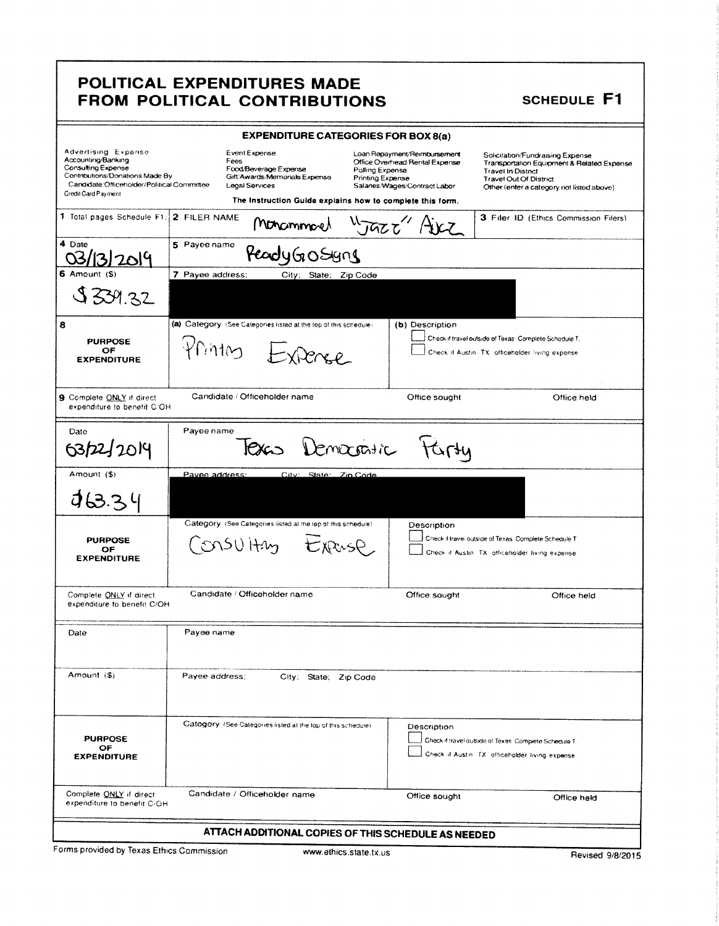### POLITICAL EXPENDITURES MADE FROM POLITICAL CONTRIBUTIONS

# **SCHEDULE F1**

| <b>EXPENDITURE CATEGORIES FOR BOX 8(a)</b>                                                                                                                              |                                                                                                   |                                                                                                                                                                                                            |                                                                                                                                                                                           |  |  |
|-------------------------------------------------------------------------------------------------------------------------------------------------------------------------|---------------------------------------------------------------------------------------------------|------------------------------------------------------------------------------------------------------------------------------------------------------------------------------------------------------------|-------------------------------------------------------------------------------------------------------------------------------------------------------------------------------------------|--|--|
| Advertising Expense<br>Accounting/Banking<br>Consulting Expense<br>Contributions/Donations Made By<br>Candidate Officeholder/Political Committee<br>Credit Card Payment | Event Expense<br>Fees<br>Food/Beverage Expense<br>Gift/Awards/Memorials Expense<br>Legal Services | Loan Repayment/Reimbursement<br>Office Overhead Rental Expense<br>Polling Expense<br><b>Printing Expense</b><br>Salaries/Wages/Contract Labor<br>The instruction Guide explains how to complete this form. | Solicitation/Fundraising Expense<br>Transportation Equipment & Related Expense<br><b>Travel In District</b><br><b>Travel Out Of District</b><br>Other (enter a category not listed above) |  |  |
| 1 Total pages Schedule F1:                                                                                                                                              | 2 FILER NAME<br>Monammarch                                                                        | $\sqrt{250}$                                                                                                                                                                                               | 3 Filer ID (Ethics Commission Filers)                                                                                                                                                     |  |  |
| 4 Date<br>2014                                                                                                                                                          | 5 Payee name<br>PeadyGoSyns                                                                       |                                                                                                                                                                                                            |                                                                                                                                                                                           |  |  |
| 6 Amount (S)                                                                                                                                                            | 7 Payee address:<br>City: State: Zip Code                                                         |                                                                                                                                                                                                            |                                                                                                                                                                                           |  |  |
| \$339.32                                                                                                                                                                |                                                                                                   |                                                                                                                                                                                                            |                                                                                                                                                                                           |  |  |
| 8                                                                                                                                                                       | (a) Category (See Categories listed at the top of this schedule)                                  | (b) Description                                                                                                                                                                                            |                                                                                                                                                                                           |  |  |
| <b>PURPOSE</b><br>OF                                                                                                                                                    | Printing Expense                                                                                  |                                                                                                                                                                                                            | Check if travel outside of Texas. Complete Schedule T.                                                                                                                                    |  |  |
| <b>EXPENDITURE</b>                                                                                                                                                      |                                                                                                   |                                                                                                                                                                                                            | Check it Austin, TX. officeholder living expense.                                                                                                                                         |  |  |
| 9 Complete ONLY if direct<br>expenditure to benefit C/OH                                                                                                                | Candidate / Officeholder name                                                                     | Office sought                                                                                                                                                                                              | Office held                                                                                                                                                                               |  |  |
| Date                                                                                                                                                                    | Payee name                                                                                        |                                                                                                                                                                                                            |                                                                                                                                                                                           |  |  |
| 63/22/2014                                                                                                                                                              |                                                                                                   | Texas Democratic Farty                                                                                                                                                                                     |                                                                                                                                                                                           |  |  |
| Amount (\$)                                                                                                                                                             | Pavee address:<br>City: State: Zin Code                                                           |                                                                                                                                                                                                            |                                                                                                                                                                                           |  |  |
| 463.34                                                                                                                                                                  |                                                                                                   |                                                                                                                                                                                                            |                                                                                                                                                                                           |  |  |
|                                                                                                                                                                         | Category (See Categories listed at the top of this schedule).                                     | Description                                                                                                                                                                                                |                                                                                                                                                                                           |  |  |
| <b>PURPOSE</b><br>OF                                                                                                                                                    | CONSULTAY Expase                                                                                  |                                                                                                                                                                                                            | Check if travel outside of Texas. Complete Schedule T.                                                                                                                                    |  |  |
| <b>EXPENDITURE</b>                                                                                                                                                      |                                                                                                   |                                                                                                                                                                                                            | Check if Austin. TX: othceholder living expense.                                                                                                                                          |  |  |
| Complete ONLY if direct<br>expenditure to benefit C/OH                                                                                                                  | Candidate / Officeholder name                                                                     | Office sought                                                                                                                                                                                              | Office held                                                                                                                                                                               |  |  |
| Date                                                                                                                                                                    | Payee name                                                                                        |                                                                                                                                                                                                            |                                                                                                                                                                                           |  |  |
| Amount (\$)                                                                                                                                                             | Payee address:<br>City: State; Zip Code                                                           |                                                                                                                                                                                                            |                                                                                                                                                                                           |  |  |
| <b>PURPOSE</b><br>OF<br><b>EXPENDITURE</b>                                                                                                                              | Category (See Categories listed at the top of this schedule).                                     | Description                                                                                                                                                                                                | Check if travel outside of Texas. Complete Schedule T.<br>Check if Austin. TX: officeholder living expense                                                                                |  |  |
| Complete ONLY if direct<br>expenditure to benefit C <sub>1</sub> OH                                                                                                     | Candidate / Officeholder name                                                                     | Office sought                                                                                                                                                                                              | Office held                                                                                                                                                                               |  |  |
|                                                                                                                                                                         | ATTACH ADDITIONAL COPIES OF THIS SCHEDULE AS NEEDED                                               |                                                                                                                                                                                                            |                                                                                                                                                                                           |  |  |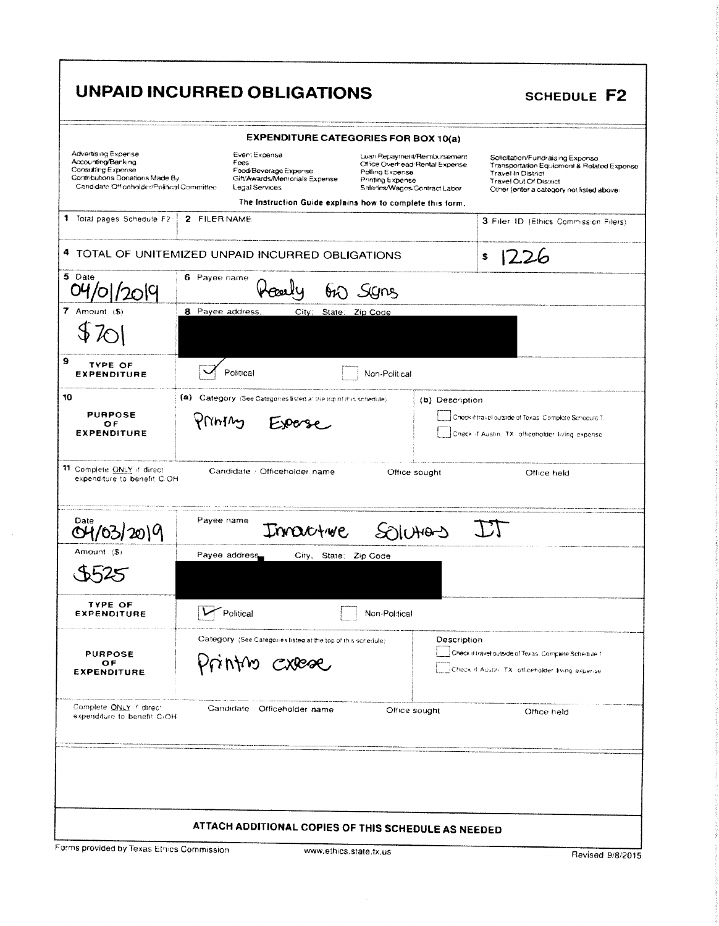|                                                                                                                                                         | UNPAID INCURRED OBLIGATIONS                                                                                                                                    |                                                                                                                                        | <b>SCHEDULE F2</b>                                                                                                                                                                 |
|---------------------------------------------------------------------------------------------------------------------------------------------------------|----------------------------------------------------------------------------------------------------------------------------------------------------------------|----------------------------------------------------------------------------------------------------------------------------------------|------------------------------------------------------------------------------------------------------------------------------------------------------------------------------------|
|                                                                                                                                                         | <b>EXPENDITURE CATEGORIES FOR BOX 10(a)</b>                                                                                                                    |                                                                                                                                        |                                                                                                                                                                                    |
| Advertising Expense<br>Accounting/Banking<br><b>Consulting Expense</b><br>Contributions Donations Made By<br>Candidate Officeholder/Political Committee | Event Expense<br>Foes<br>Food/Beverage Expense<br>Gift/Awards/Memorials Expense<br>Legal Services<br>The Instruction Guide explains how to complete this form, | Luan Repayment/Rembursement<br>Office Overhead: Rental Expense<br>Polling Expense<br>Printing Expense<br>Salaries/Wages/Contract Labor | Solicitation/Fundraising Expense<br>Transportation Equipment & Related Expense<br><b>Travel In District</b><br>Travel Out Of District<br>Other (enter a category not listed above) |
| 1 Total pages Schedule F2                                                                                                                               | 2 FILER NAME                                                                                                                                                   |                                                                                                                                        | 3 Filer ID (Ethics Commission Filers)                                                                                                                                              |
|                                                                                                                                                         | 4 TOTAL OF UNITEMIZED UNPAID INCURRED OBLIGATIONS                                                                                                              |                                                                                                                                        | \$<br>7.26                                                                                                                                                                         |
| 5 Date<br>2014                                                                                                                                          | 6 Payee name<br>$\mathfrak{h}$ )                                                                                                                               | S/N                                                                                                                                    |                                                                                                                                                                                    |
| 7 Amount $(5)$                                                                                                                                          | 8 Payee address,<br>City;<br>State:                                                                                                                            | Zip Code                                                                                                                               |                                                                                                                                                                                    |
| 9<br><b>TYPE OF</b><br><b>EXPENDITURE</b>                                                                                                               | Political                                                                                                                                                      | Non-Political                                                                                                                          |                                                                                                                                                                                    |
| 10<br><b>PURPOSE</b><br>ОF<br><b>EXPENDITURE</b>                                                                                                        | (a) Category (See Categories listed at the top of this schedule)<br>Printing<br>Experse                                                                        | (b) Description                                                                                                                        | Check if travel outside of Texas: Complete Schedule T.<br>Check if Austin, TX: officeholder living expense.                                                                        |
| 11 Complete ONLY if direct<br>expenditure to benefit C/OH                                                                                               | Candidate : Officeholder name                                                                                                                                  | Office sought                                                                                                                          | Office held                                                                                                                                                                        |
| Date                                                                                                                                                    | Payee name<br>Innactive                                                                                                                                        |                                                                                                                                        |                                                                                                                                                                                    |
| Amount (\$)                                                                                                                                             | Payee address<br>City, State: Zip Code                                                                                                                         |                                                                                                                                        |                                                                                                                                                                                    |
| <b>TYPE OF</b><br><b>EXPENDITURE</b>                                                                                                                    | Political                                                                                                                                                      | Non-Political                                                                                                                          |                                                                                                                                                                                    |
| <b>PURPOSE</b><br>OF<br><b>EXPENDITURE</b>                                                                                                              | Category (See Categories listed at the top of this schedule)<br>Printino cxese                                                                                 | Description                                                                                                                            | Check if travel outside of Texas, Complete Schedule 1<br>Check if Austin, TX, officeholder Eving experise                                                                          |
| Complete ONLY f direct<br>expenditure to benefit C/OH                                                                                                   | Candidate Officeholder name                                                                                                                                    | Office sought                                                                                                                          | Office held                                                                                                                                                                        |
|                                                                                                                                                         |                                                                                                                                                                |                                                                                                                                        |                                                                                                                                                                                    |
|                                                                                                                                                         | ATTACH ADDITIONAL COPIES OF THIS SCHEDULE AS NEEDED                                                                                                            |                                                                                                                                        |                                                                                                                                                                                    |
| Forms provided by Texas Ethics Commission                                                                                                               | www.ethics.state.tx.us                                                                                                                                         |                                                                                                                                        |                                                                                                                                                                                    |

Revised 9/8/2015

www.ethics.state.tx.us